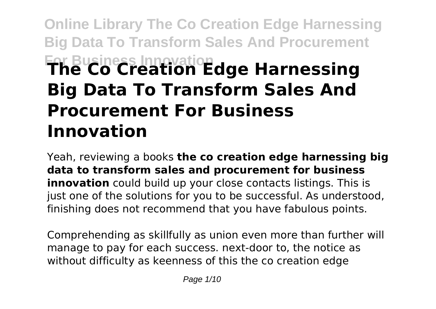# **Online Library The Co Creation Edge Harnessing Big Data To Transform Sales And Procurement For Business Innovation The Co Creation Edge Harnessing Big Data To Transform Sales And Procurement For Business Innovation**

Yeah, reviewing a books **the co creation edge harnessing big data to transform sales and procurement for business innovation** could build up your close contacts listings. This is just one of the solutions for you to be successful. As understood, finishing does not recommend that you have fabulous points.

Comprehending as skillfully as union even more than further will manage to pay for each success. next-door to, the notice as without difficulty as keenness of this the co creation edge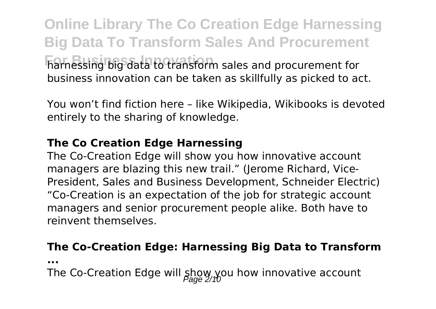**Online Library The Co Creation Edge Harnessing Big Data To Transform Sales And Procurement For Business Innovation** harnessing big data to transform sales and procurement for business innovation can be taken as skillfully as picked to act.

You won't find fiction here – like Wikipedia, Wikibooks is devoted entirely to the sharing of knowledge.

#### **The Co Creation Edge Harnessing**

The Co-Creation Edge will show you how innovative account managers are blazing this new trail." (Jerome Richard, Vice-President, Sales and Business Development, Schneider Electric) "Co-Creation is an expectation of the job for strategic account managers and senior procurement people alike. Both have to reinvent themselves.

#### **The Co-Creation Edge: Harnessing Big Data to Transform**

**...**

The Co-Creation Edge will  $\frac{1}{2}$ gow, you how innovative account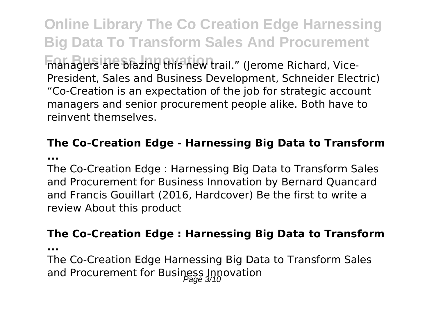**Online Library The Co Creation Edge Harnessing Big Data To Transform Sales And Procurement For Business Inc.** blazing this new trail." (Jerome Richard, Vice-President, Sales and Business Development, Schneider Electric) "Co-Creation is an expectation of the job for strategic account managers and senior procurement people alike. Both have to reinvent themselves.

#### **The Co-Creation Edge - Harnessing Big Data to Transform ...**

The Co-Creation Edge : Harnessing Big Data to Transform Sales and Procurement for Business Innovation by Bernard Quancard and Francis Gouillart (2016, Hardcover) Be the first to write a review About this product

#### **The Co-Creation Edge : Harnessing Big Data to Transform**

**...**

The Co-Creation Edge Harnessing Big Data to Transform Sales and Procurement for Business Innovation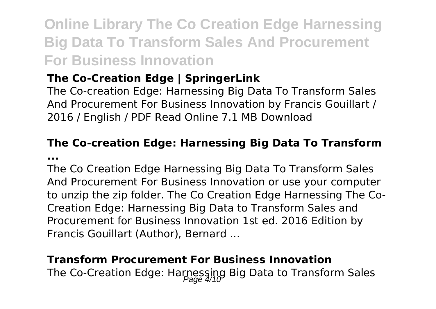## **Online Library The Co Creation Edge Harnessing Big Data To Transform Sales And Procurement For Business Innovation**

## **The Co-Creation Edge | SpringerLink**

The Co-creation Edge: Harnessing Big Data To Transform Sales And Procurement For Business Innovation by Francis Gouillart / 2016 / English / PDF Read Online 7.1 MB Download

#### **The Co-creation Edge: Harnessing Big Data To Transform ...**

The Co Creation Edge Harnessing Big Data To Transform Sales And Procurement For Business Innovation or use your computer to unzip the zip folder. The Co Creation Edge Harnessing The Co-Creation Edge: Harnessing Big Data to Transform Sales and Procurement for Business Innovation 1st ed. 2016 Edition by Francis Gouillart (Author), Bernard ...

#### **Transform Procurement For Business Innovation**

The Co-Creation Edge: Harnessing Big Data to Transform Sales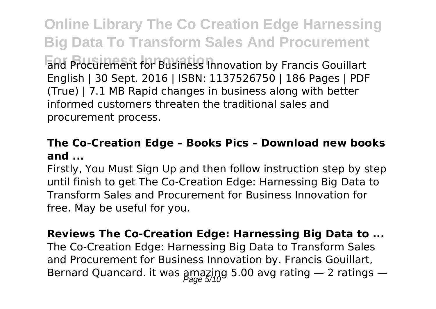**Online Library The Co Creation Edge Harnessing Big Data To Transform Sales And Procurement For Business Innovation** and Procurement for Business Innovation by Francis Gouillart English | 30 Sept. 2016 | ISBN: 1137526750 | 186 Pages | PDF (True) | 7.1 MB Rapid changes in business along with better informed customers threaten the traditional sales and procurement process.

#### **The Co-Creation Edge – Books Pics – Download new books and ...**

Firstly, You Must Sign Up and then follow instruction step by step until finish to get The Co-Creation Edge: Harnessing Big Data to Transform Sales and Procurement for Business Innovation for free. May be useful for you.

**Reviews The Co-Creation Edge: Harnessing Big Data to ...** The Co-Creation Edge: Harnessing Big Data to Transform Sales and Procurement for Business Innovation by. Francis Gouillart, Bernard Quancard. it was amazing 5.00 avg rating  $-$  2 ratings  $-$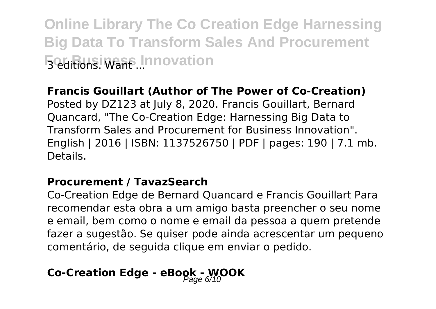**Online Library The Co Creation Edge Harnessing Big Data To Transform Sales And Procurement For Business Innovation** 

#### **Francis Gouillart (Author of The Power of Co-Creation)**

Posted by DZ123 at July 8, 2020. Francis Gouillart, Bernard Quancard, "The Co-Creation Edge: Harnessing Big Data to Transform Sales and Procurement for Business Innovation". English | 2016 | ISBN: 1137526750 | PDF | pages: 190 | 7.1 mb. Details.

#### **Procurement / TavazSearch**

Co-Creation Edge de Bernard Quancard e Francis Gouillart Para recomendar esta obra a um amigo basta preencher o seu nome e email, bem como o nome e email da pessoa a quem pretende fazer a sugestão. Se quiser pode ainda acrescentar um pequeno comentário, de seguida clique em enviar o pedido.

## **Co-Creation Edge - eBook - WOOK**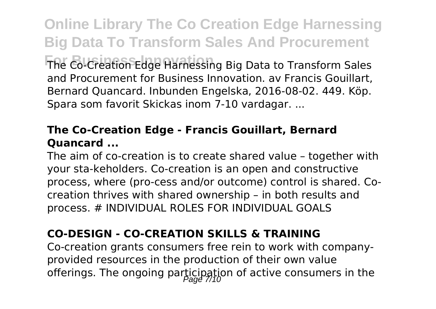**Online Library The Co Creation Edge Harnessing Big Data To Transform Sales And Procurement For Business Innovation** The Co-Creation Edge Harnessing Big Data to Transform Sales and Procurement for Business Innovation. av Francis Gouillart, Bernard Quancard. Inbunden Engelska, 2016-08-02. 449. Köp. Spara som favorit Skickas inom 7-10 vardagar. ...

#### **The Co-Creation Edge - Francis Gouillart, Bernard Quancard ...**

The aim of co-creation is to create shared value – together with your sta-keholders. Co-creation is an open and constructive process, where (pro-cess and/or outcome) control is shared. Cocreation thrives with shared ownership – in both results and process. # INDIVIDUAL ROLES FOR INDIVIDUAL GOALS

### **CO-DESIGN - CO-CREATION SKILLS & TRAINING**

Co-creation grants consumers free rein to work with companyprovided resources in the production of their own value offerings. The ongoing participation of active consumers in the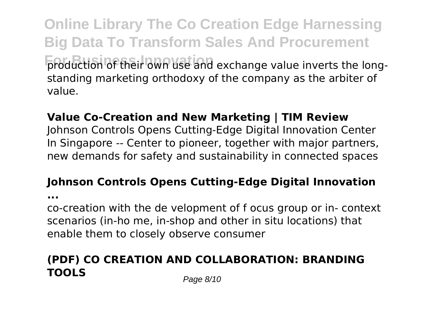**Online Library The Co Creation Edge Harnessing Big Data To Transform Sales And Procurement production of their own use and exchange value inverts the long**standing marketing orthodoxy of the company as the arbiter of value.

#### **Value Co-Creation and New Marketing | TIM Review**

Johnson Controls Opens Cutting-Edge Digital Innovation Center In Singapore -- Center to pioneer, together with major partners, new demands for safety and sustainability in connected spaces

### **Johnson Controls Opens Cutting-Edge Digital Innovation**

**...**

co-creation with the de velopment of f ocus group or in- context scenarios (in-ho me, in-shop and other in situ locations) that enable them to closely observe consumer

## **(PDF) CO CREATION AND COLLABORATION: BRANDING TOOLS** Page 8/10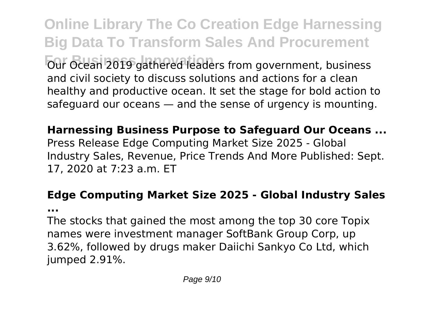**Online Library The Co Creation Edge Harnessing Big Data To Transform Sales And Procurement Four Ocean 2019 gathered leaders from government, business** and civil society to discuss solutions and actions for a clean healthy and productive ocean. It set the stage for bold action to safeguard our oceans — and the sense of urgency is mounting.

**Harnessing Business Purpose to Safeguard Our Oceans ...** Press Release Edge Computing Market Size 2025 - Global Industry Sales, Revenue, Price Trends And More Published: Sept. 17, 2020 at 7:23 a.m. ET

## **Edge Computing Market Size 2025 - Global Industry Sales**

**...**

The stocks that gained the most among the top 30 core Topix names were investment manager SoftBank Group Corp, up 3.62%, followed by drugs maker Daiichi Sankyo Co Ltd, which jumped 2.91%.